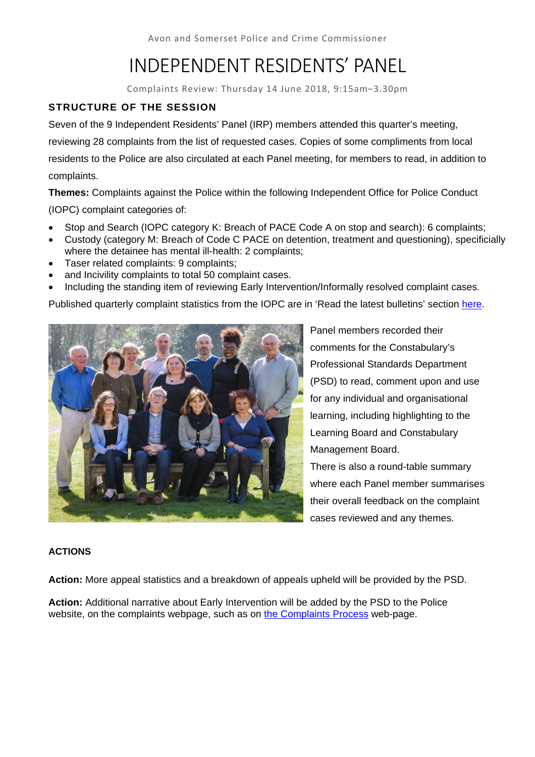Avon and Somerset Police and Crime Commissioner

# INDEPENDENT RESIDENTS' PANEL

Complaints Review: Thursday 14 June 2018, 9:15am–3.30pm

# **STRUCTURE OF THE SESSION**

Seven of the 9 Independent Residents' Panel (IRP) members attended this quarter's meeting, reviewing 28 complaints from the list of requested cases. Copies of some compliments from local residents to the Police are also circulated at each Panel meeting, for members to read, in addition to complaints.

**Themes:** Complaints against the Police within the following Independent Office for Police Conduct (IOPC) complaint categories of:

- Stop and Search (IOPC category K: Breach of PACE Code A on stop and search): 6 complaints;
- Custody (category M: Breach of Code C PACE on detention, treatment and questioning), specificially where the detainee has mental ill-health: 2 complaints;
- Taser related complaints: 9 complaints;
- and Incivility complaints to total 50 complaint cases.
- Including the standing item of reviewing Early Intervention/Informally resolved complaint cases.

Published quarterly complaint statistics from the IOPC are in 'Read the latest bulletins' section here.



Panel members recorded their comments for the Constabulary's Professional Standards Department (PSD) to read, comment upon and use for any individual and organisational learning, including highlighting to the Learning Board and Constabulary Management Board.

There is also a round-table summary where each Panel member summarises their overall feedback on the complaint cases reviewed and any themes.

#### **ACTIONS**

**Action:** More appeal statistics and a breakdown of appeals upheld will be provided by the PSD.

**Action:** Additional narrative about Early Intervention will be added by the PSD to the Police website, on the complaints webpage, such as on the Complaints Process web-page.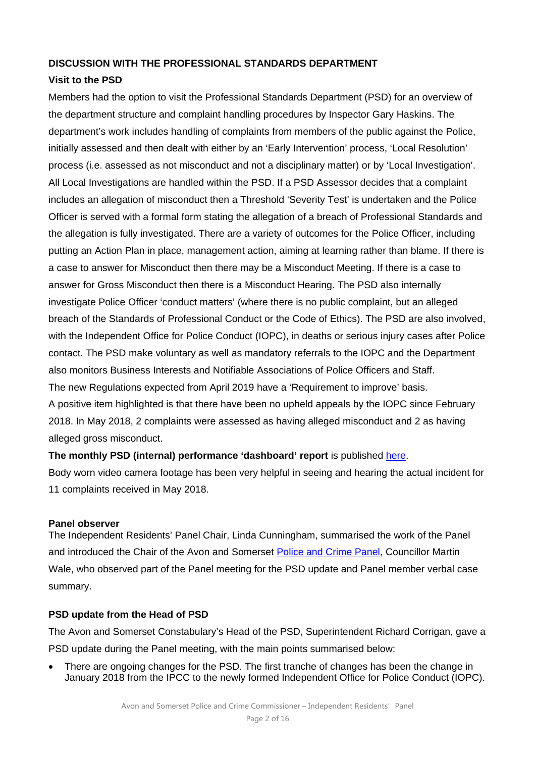#### **DISCUSSION WITH THE PROFESSIONAL STANDARDS DEPARTMENT**

### **Visit to the PSD**

Members had the option to visit the Professional Standards Department (PSD) for an overview of the department structure and complaint handling procedures by Inspector Gary Haskins. The department's work includes handling of complaints from members of the public against the Police, initially assessed and then dealt with either by an 'Early Intervention' process, 'Local Resolution' process (i.e. assessed as not misconduct and not a disciplinary matter) or by 'Local Investigation'. All Local Investigations are handled within the PSD. If a PSD Assessor decides that a complaint includes an allegation of misconduct then a Threshold 'Severity Test' is undertaken and the Police Officer is served with a formal form stating the allegation of a breach of Professional Standards and the allegation is fully investigated. There are a variety of outcomes for the Police Officer, including putting an Action Plan in place, management action, aiming at learning rather than blame. If there is a case to answer for Misconduct then there may be a Misconduct Meeting. If there is a case to answer for Gross Misconduct then there is a Misconduct Hearing. The PSD also internally investigate Police Officer 'conduct matters' (where there is no public complaint, but an alleged breach of the Standards of Professional Conduct or the Code of Ethics). The PSD are also involved, with the Independent Office for Police Conduct (IOPC), in deaths or serious injury cases after Police contact. The PSD make voluntary as well as mandatory referrals to the IOPC and the Department also monitors Business Interests and Notifiable Associations of Police Officers and Staff. The new Regulations expected from April 2019 have a 'Requirement to improve' basis. A positive item highlighted is that there have been no upheld appeals by the IOPC since February 2018. In May 2018, 2 complaints were assessed as having alleged misconduct and 2 as having alleged gross misconduct.

**The monthly PSD (internal) performance 'dashboard' report** is published here.

Body worn video camera footage has been very helpful in seeing and hearing the actual incident for 11 complaints received in May 2018.

#### **Panel observer**

The Independent Residents' Panel Chair, Linda Cunningham, summarised the work of the Panel and introduced the Chair of the Avon and Somerset Police and Crime Panel, Councillor Martin Wale, who observed part of the Panel meeting for the PSD update and Panel member verbal case summary.

#### **PSD update from the Head of PSD**

The Avon and Somerset Constabulary's Head of the PSD, Superintendent Richard Corrigan, gave a PSD update during the Panel meeting, with the main points summarised below:

 There are ongoing changes for the PSD. The first tranche of changes has been the change in January 2018 from the IPCC to the newly formed Independent Office for Police Conduct (IOPC).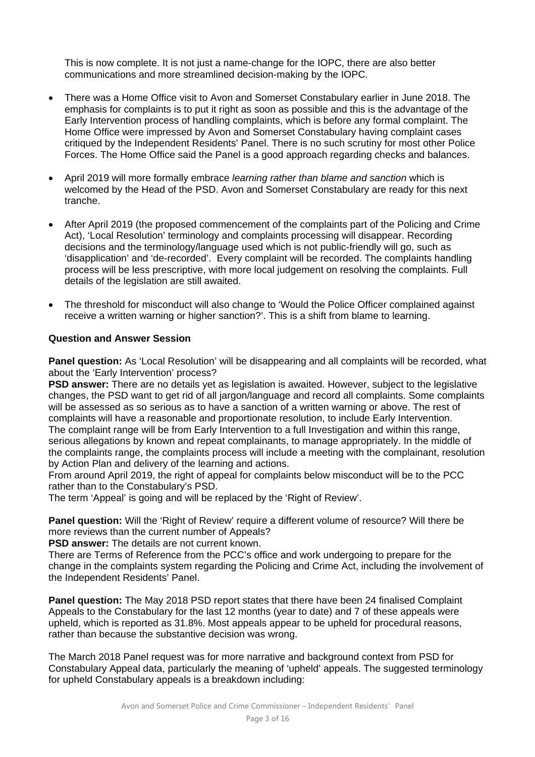This is now complete. It is not just a name-change for the IOPC, there are also better communications and more streamlined decision-making by the IOPC.

- There was a Home Office visit to Avon and Somerset Constabulary earlier in June 2018. The emphasis for complaints is to put it right as soon as possible and this is the advantage of the Early Intervention process of handling complaints, which is before any formal complaint. The Home Office were impressed by Avon and Somerset Constabulary having complaint cases critiqued by the Independent Residents' Panel. There is no such scrutiny for most other Police Forces. The Home Office said the Panel is a good approach regarding checks and balances.
- April 2019 will more formally embrace *learning rather than blame and sanction* which is welcomed by the Head of the PSD. Avon and Somerset Constabulary are ready for this next tranche.
- After April 2019 (the proposed commencement of the complaints part of the Policing and Crime Act), 'Local Resolution' terminology and complaints processing will disappear. Recording decisions and the terminology/language used which is not public-friendly will go, such as 'disapplication' and 'de-recorded'. Every complaint will be recorded. The complaints handling process will be less prescriptive, with more local judgement on resolving the complaints. Full details of the legislation are still awaited.
- The threshold for misconduct will also change to 'Would the Police Officer complained against receive a written warning or higher sanction?'. This is a shift from blame to learning.

#### **Question and Answer Session**

**Panel question:** As 'Local Resolution' will be disappearing and all complaints will be recorded, what about the 'Early Intervention' process?

**PSD answer:** There are no details yet as legislation is awaited. However, subject to the legislative changes, the PSD want to get rid of all jargon/language and record all complaints. Some complaints will be assessed as so serious as to have a sanction of a written warning or above. The rest of complaints will have a reasonable and proportionate resolution, to include Early Intervention. The complaint range will be from Early Intervention to a full Investigation and within this range, serious allegations by known and repeat complainants, to manage appropriately. In the middle of the complaints range, the complaints process will include a meeting with the complainant, resolution by Action Plan and delivery of the learning and actions.

From around April 2019, the right of appeal for complaints below misconduct will be to the PCC rather than to the Constabulary's PSD.

The term 'Appeal' is going and will be replaced by the 'Right of Review'.

**Panel question:** Will the 'Right of Review' require a different volume of resource? Will there be more reviews than the current number of Appeals?

**PSD answer:** The details are not current known.

There are Terms of Reference from the PCC's office and work undergoing to prepare for the change in the complaints system regarding the Policing and Crime Act, including the involvement of the Independent Residents' Panel.

**Panel question:** The May 2018 PSD report states that there have been 24 finalised Complaint Appeals to the Constabulary for the last 12 months (year to date) and 7 of these appeals were upheld, which is reported as 31.8%. Most appeals appear to be upheld for procedural reasons, rather than because the substantive decision was wrong.

The March 2018 Panel request was for more narrative and background context from PSD for Constabulary Appeal data, particularly the meaning of 'upheld' appeals. The suggested terminology for upheld Constabulary appeals is a breakdown including: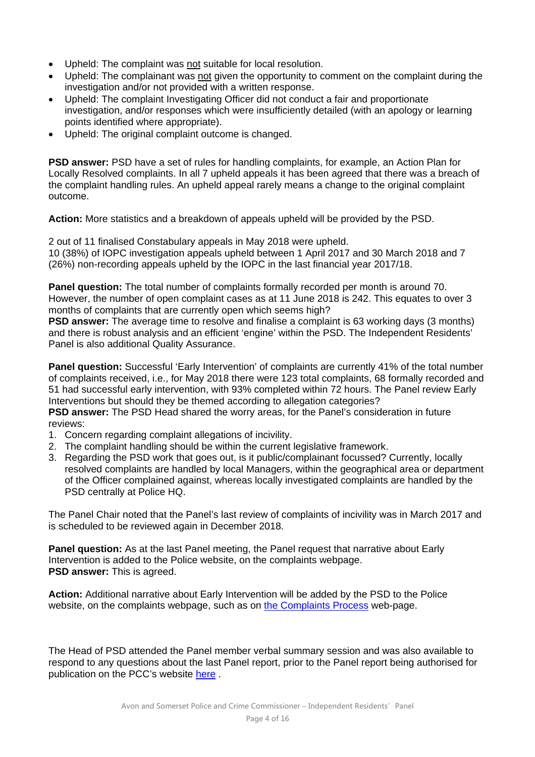- Upheld: The complaint was not suitable for local resolution.
- Upheld: The complainant was not given the opportunity to comment on the complaint during the investigation and/or not provided with a written response.
- Upheld: The complaint Investigating Officer did not conduct a fair and proportionate investigation, and/or responses which were insufficiently detailed (with an apology or learning points identified where appropriate).
- Upheld: The original complaint outcome is changed.

**PSD answer:** PSD have a set of rules for handling complaints, for example, an Action Plan for Locally Resolved complaints. In all 7 upheld appeals it has been agreed that there was a breach of the complaint handling rules. An upheld appeal rarely means a change to the original complaint outcome.

**Action:** More statistics and a breakdown of appeals upheld will be provided by the PSD.

2 out of 11 finalised Constabulary appeals in May 2018 were upheld. 10 (38%) of IOPC investigation appeals upheld between 1 April 2017 and 30 March 2018 and 7 (26%) non-recording appeals upheld by the IOPC in the last financial year 2017/18.

**Panel question:** The total number of complaints formally recorded per month is around 70. However, the number of open complaint cases as at 11 June 2018 is 242. This equates to over 3 months of complaints that are currently open which seems high?

**PSD answer:** The average time to resolve and finalise a complaint is 63 working days (3 months) and there is robust analysis and an efficient 'engine' within the PSD. The Independent Residents' Panel is also additional Quality Assurance.

Panel question: Successful 'Early Intervention' of complaints are currently 41% of the total number of complaints received, i.e., for May 2018 there were 123 total complaints, 68 formally recorded and 51 had successful early intervention, with 93% completed within 72 hours. The Panel review Early Interventions but should they be themed according to allegation categories?

**PSD answer:** The PSD Head shared the worry areas, for the Panel's consideration in future reviews:

- 1. Concern regarding complaint allegations of incivility.
- 2. The complaint handling should be within the current legislative framework.
- 3. Regarding the PSD work that goes out, is it public/complainant focussed? Currently, locally resolved complaints are handled by local Managers, within the geographical area or department of the Officer complained against, whereas locally investigated complaints are handled by the PSD centrally at Police HQ.

The Panel Chair noted that the Panel's last review of complaints of incivility was in March 2017 and is scheduled to be reviewed again in December 2018.

**Panel question:** As at the last Panel meeting, the Panel request that narrative about Early Intervention is added to the Police website, on the complaints webpage. **PSD answer:** This is agreed.

**Action:** Additional narrative about Early Intervention will be added by the PSD to the Police website, on the complaints webpage, such as on the Complaints Process web-page.

The Head of PSD attended the Panel member verbal summary session and was also available to respond to any questions about the last Panel report, prior to the Panel report being authorised for publication on the PCC's website here .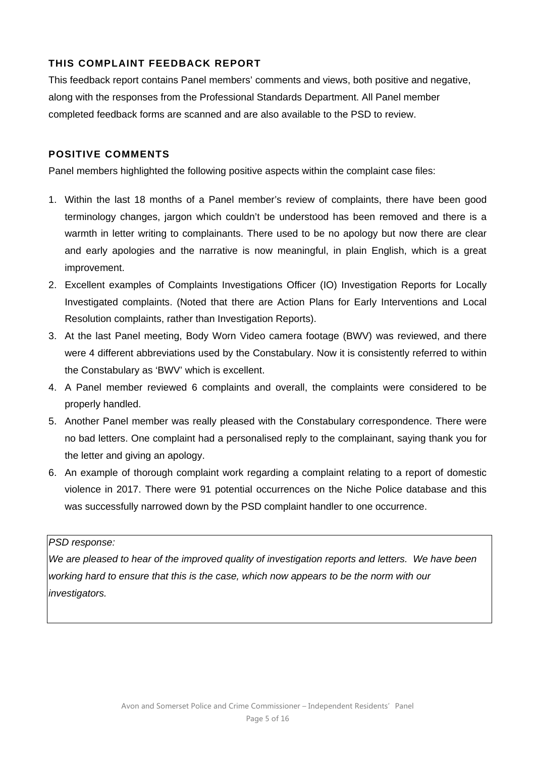# **THIS COMPLAINT FEEDBACK REPORT**

This feedback report contains Panel members' comments and views, both positive and negative, along with the responses from the Professional Standards Department. All Panel member completed feedback forms are scanned and are also available to the PSD to review.

# **POSITIVE COMMENTS**

Panel members highlighted the following positive aspects within the complaint case files:

- 1. Within the last 18 months of a Panel member's review of complaints, there have been good terminology changes, jargon which couldn't be understood has been removed and there is a warmth in letter writing to complainants. There used to be no apology but now there are clear and early apologies and the narrative is now meaningful, in plain English, which is a great improvement.
- 2. Excellent examples of Complaints Investigations Officer (IO) Investigation Reports for Locally Investigated complaints. (Noted that there are Action Plans for Early Interventions and Local Resolution complaints, rather than Investigation Reports).
- 3. At the last Panel meeting, Body Worn Video camera footage (BWV) was reviewed, and there were 4 different abbreviations used by the Constabulary. Now it is consistently referred to within the Constabulary as 'BWV' which is excellent.
- 4. A Panel member reviewed 6 complaints and overall, the complaints were considered to be properly handled.
- 5. Another Panel member was really pleased with the Constabulary correspondence. There were no bad letters. One complaint had a personalised reply to the complainant, saying thank you for the letter and giving an apology.
- 6. An example of thorough complaint work regarding a complaint relating to a report of domestic violence in 2017. There were 91 potential occurrences on the Niche Police database and this was successfully narrowed down by the PSD complaint handler to one occurrence.

#### *PSD response:*

*We are pleased to hear of the improved quality of investigation reports and letters. We have been working hard to ensure that this is the case, which now appears to be the norm with our investigators.*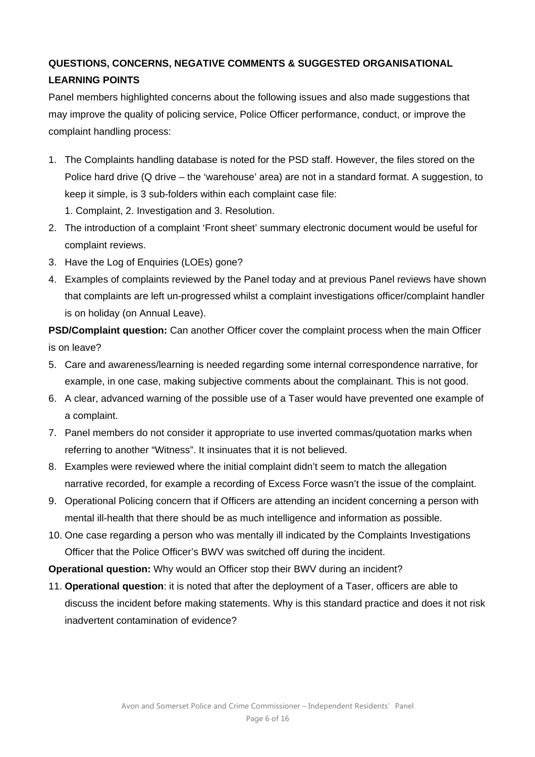# **QUESTIONS, CONCERNS, NEGATIVE COMMENTS & SUGGESTED ORGANISATIONAL LEARNING POINTS**

Panel members highlighted concerns about the following issues and also made suggestions that may improve the quality of policing service, Police Officer performance, conduct, or improve the complaint handling process:

- 1. The Complaints handling database is noted for the PSD staff. However, the files stored on the Police hard drive (Q drive – the 'warehouse' area) are not in a standard format. A suggestion, to keep it simple, is 3 sub-folders within each complaint case file:
	- 1. Complaint, 2. Investigation and 3. Resolution.
- 2. The introduction of a complaint 'Front sheet' summary electronic document would be useful for complaint reviews.
- 3. Have the Log of Enquiries (LOEs) gone?
- 4. Examples of complaints reviewed by the Panel today and at previous Panel reviews have shown that complaints are left un-progressed whilst a complaint investigations officer/complaint handler is on holiday (on Annual Leave).

**PSD/Complaint question:** Can another Officer cover the complaint process when the main Officer is on leave?

- 5. Care and awareness/learning is needed regarding some internal correspondence narrative, for example, in one case, making subjective comments about the complainant. This is not good.
- 6. A clear, advanced warning of the possible use of a Taser would have prevented one example of a complaint.
- 7. Panel members do not consider it appropriate to use inverted commas/quotation marks when referring to another "Witness". It insinuates that it is not believed.
- 8. Examples were reviewed where the initial complaint didn't seem to match the allegation narrative recorded, for example a recording of Excess Force wasn't the issue of the complaint.
- 9. Operational Policing concern that if Officers are attending an incident concerning a person with mental ill-health that there should be as much intelligence and information as possible.
- 10. One case regarding a person who was mentally ill indicated by the Complaints Investigations Officer that the Police Officer's BWV was switched off during the incident.

**Operational question:** Why would an Officer stop their BWV during an incident?

11. **Operational question**: it is noted that after the deployment of a Taser, officers are able to discuss the incident before making statements. Why is this standard practice and does it not risk inadvertent contamination of evidence?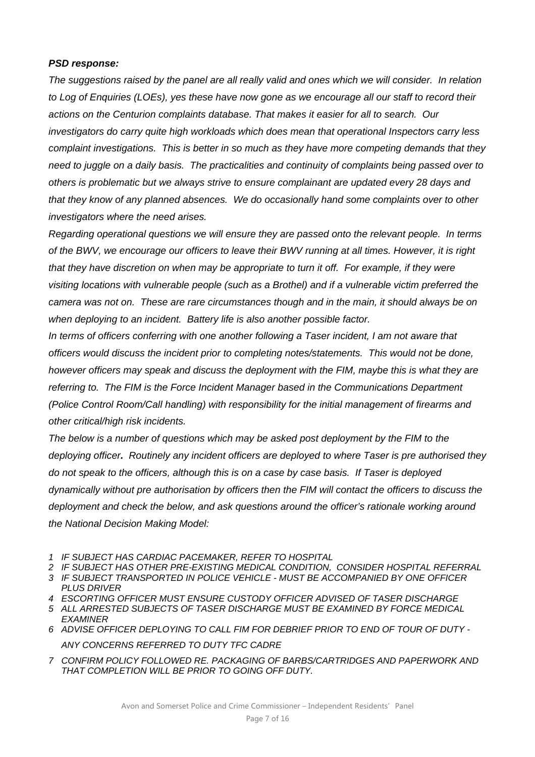#### *PSD response:*

*The suggestions raised by the panel are all really valid and ones which we will consider. In relation to Log of Enquiries (LOEs), yes these have now gone as we encourage all our staff to record their actions on the Centurion complaints database. That makes it easier for all to search. Our investigators do carry quite high workloads which does mean that operational Inspectors carry less complaint investigations. This is better in so much as they have more competing demands that they need to juggle on a daily basis. The practicalities and continuity of complaints being passed over to others is problematic but we always strive to ensure complainant are updated every 28 days and that they know of any planned absences. We do occasionally hand some complaints over to other investigators where the need arises.* 

*Regarding operational questions we will ensure they are passed onto the relevant people. In terms of the BWV, we encourage our officers to leave their BWV running at all times. However, it is right that they have discretion on when may be appropriate to turn it off. For example, if they were visiting locations with vulnerable people (such as a Brothel) and if a vulnerable victim preferred the camera was not on. These are rare circumstances though and in the main, it should always be on when deploying to an incident. Battery life is also another possible factor.* 

*In terms of officers conferring with one another following a Taser incident, I am not aware that officers would discuss the incident prior to completing notes/statements. This would not be done, however officers may speak and discuss the deployment with the FIM, maybe this is what they are referring to. The FIM is the Force Incident Manager based in the Communications Department (Police Control Room/Call handling) with responsibility for the initial management of firearms and other critical/high risk incidents.* 

The below is a number of questions which may be asked post deployment by the FIM to the *deploying officer. Routinely any incident officers are deployed to where Taser is pre authorised they do not speak to the officers, although this is on a case by case basis. If Taser is deployed dynamically without pre authorisation by officers then the FIM will contact the officers to discuss the deployment and check the below, and ask questions around the officer's rationale working around the National Decision Making Model:* 

- *1 IF SUBJECT HAS CARDIAC PACEMAKER, REFER TO HOSPITAL*
- *2 IF SUBJECT HAS OTHER PRE-EXISTING MEDICAL CONDITION, CONSIDER HOSPITAL REFERRAL*
- *3 IF SUBJECT TRANSPORTED IN POLICE VEHICLE MUST BE ACCOMPANIED BY ONE OFFICER PLUS DRIVER*
- *4 ESCORTING OFFICER MUST ENSURE CUSTODY OFFICER ADVISED OF TASER DISCHARGE*
- *5 ALL ARRESTED SUBJECTS OF TASER DISCHARGE MUST BE EXAMINED BY FORCE MEDICAL EXAMINER*
- *6 ADVISE OFFICER DEPLOYING TO CALL FIM FOR DEBRIEF PRIOR TO END OF TOUR OF DUTY ANY CONCERNS REFERRED TO DUTY TFC CADRE*
- *7 CONFIRM POLICY FOLLOWED RE. PACKAGING OF BARBS/CARTRIDGES AND PAPERWORK AND THAT COMPLETION WILL BE PRIOR TO GOING OFF DUTY.*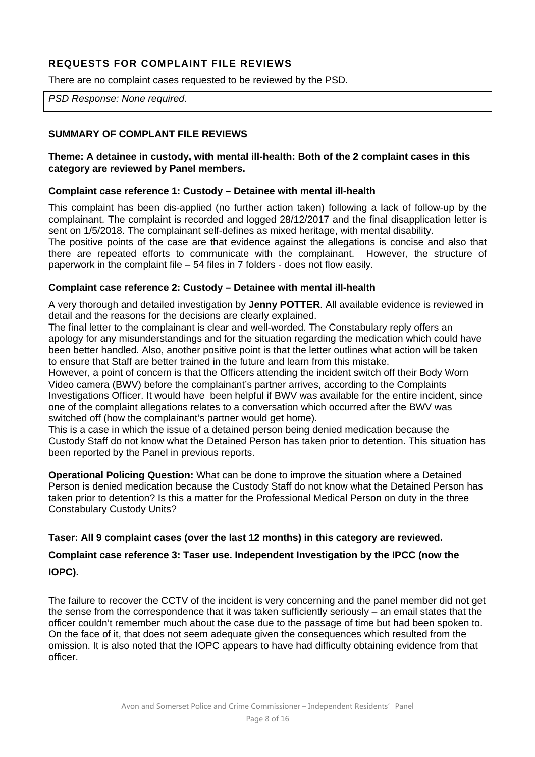# **REQUESTS FOR COMPLAINT FILE REVIEWS**

There are no complaint cases requested to be reviewed by the PSD.

*PSD Response: None required.* 

#### **SUMMARY OF COMPLANT FILE REVIEWS**

#### **Theme: A detainee in custody, with mental ill-health: Both of the 2 complaint cases in this category are reviewed by Panel members.**

#### **Complaint case reference 1: Custody – Detainee with mental ill-health**

This complaint has been dis-applied (no further action taken) following a lack of follow-up by the complainant. The complaint is recorded and logged 28/12/2017 and the final disapplication letter is sent on 1/5/2018. The complainant self-defines as mixed heritage, with mental disability.

The positive points of the case are that evidence against the allegations is concise and also that there are repeated efforts to communicate with the complainant. However, the structure of paperwork in the complaint file – 54 files in 7 folders - does not flow easily.

#### **Complaint case reference 2: Custody – Detainee with mental ill-health**

A very thorough and detailed investigation by **Jenny POTTER**. All available evidence is reviewed in detail and the reasons for the decisions are clearly explained.

The final letter to the complainant is clear and well-worded. The Constabulary reply offers an apology for any misunderstandings and for the situation regarding the medication which could have been better handled. Also, another positive point is that the letter outlines what action will be taken to ensure that Staff are better trained in the future and learn from this mistake.

However, a point of concern is that the Officers attending the incident switch off their Body Worn Video camera (BWV) before the complainant's partner arrives, according to the Complaints Investigations Officer. It would have been helpful if BWV was available for the entire incident, since one of the complaint allegations relates to a conversation which occurred after the BWV was switched off (how the complainant's partner would get home).

This is a case in which the issue of a detained person being denied medication because the Custody Staff do not know what the Detained Person has taken prior to detention. This situation has been reported by the Panel in previous reports.

**Operational Policing Question:** What can be done to improve the situation where a Detained Person is denied medication because the Custody Staff do not know what the Detained Person has taken prior to detention? Is this a matter for the Professional Medical Person on duty in the three Constabulary Custody Units?

#### **Taser: All 9 complaint cases (over the last 12 months) in this category are reviewed.**

# **Complaint case reference 3: Taser use. Independent Investigation by the IPCC (now the IOPC).**

The failure to recover the CCTV of the incident is very concerning and the panel member did not get the sense from the correspondence that it was taken sufficiently seriously – an email states that the officer couldn't remember much about the case due to the passage of time but had been spoken to. On the face of it, that does not seem adequate given the consequences which resulted from the omission. It is also noted that the IOPC appears to have had difficulty obtaining evidence from that officer.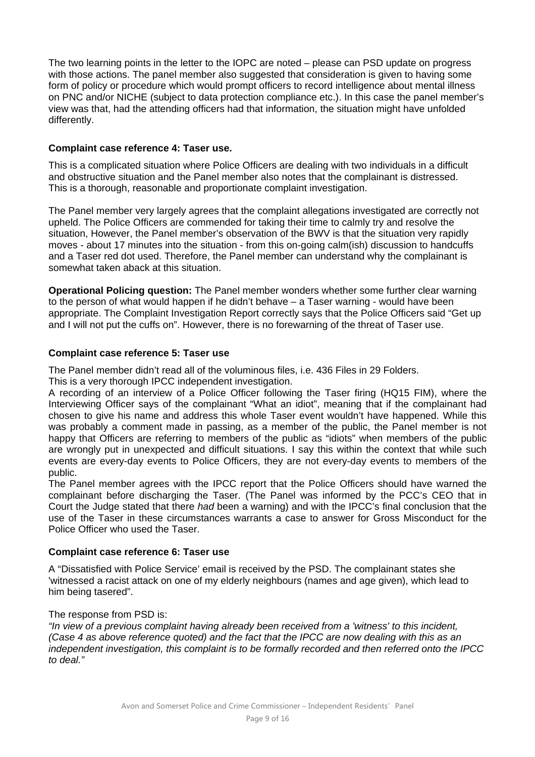The two learning points in the letter to the IOPC are noted – please can PSD update on progress with those actions. The panel member also suggested that consideration is given to having some form of policy or procedure which would prompt officers to record intelligence about mental illness on PNC and/or NICHE (subject to data protection compliance etc.). In this case the panel member's view was that, had the attending officers had that information, the situation might have unfolded differently.

#### **Complaint case reference 4: Taser use.**

This is a complicated situation where Police Officers are dealing with two individuals in a difficult and obstructive situation and the Panel member also notes that the complainant is distressed. This is a thorough, reasonable and proportionate complaint investigation.

The Panel member very largely agrees that the complaint allegations investigated are correctly not upheld. The Police Officers are commended for taking their time to calmly try and resolve the situation, However, the Panel member's observation of the BWV is that the situation very rapidly moves - about 17 minutes into the situation - from this on-going calm(ish) discussion to handcuffs and a Taser red dot used. Therefore, the Panel member can understand why the complainant is somewhat taken aback at this situation.

**Operational Policing question:** The Panel member wonders whether some further clear warning to the person of what would happen if he didn't behave – a Taser warning - would have been appropriate. The Complaint Investigation Report correctly says that the Police Officers said "Get up and I will not put the cuffs on". However, there is no forewarning of the threat of Taser use.

#### **Complaint case reference 5: Taser use**

The Panel member didn't read all of the voluminous files, i.e. 436 Files in 29 Folders.

This is a very thorough IPCC independent investigation.

A recording of an interview of a Police Officer following the Taser firing (HQ15 FIM), where the Interviewing Officer says of the complainant "What an idiot", meaning that if the complainant had chosen to give his name and address this whole Taser event wouldn't have happened. While this was probably a comment made in passing, as a member of the public, the Panel member is not happy that Officers are referring to members of the public as "idiots" when members of the public are wrongly put in unexpected and difficult situations. I say this within the context that while such events are every-day events to Police Officers, they are not every-day events to members of the public.

The Panel member agrees with the IPCC report that the Police Officers should have warned the complainant before discharging the Taser. (The Panel was informed by the PCC's CEO that in Court the Judge stated that there *had* been a warning) and with the IPCC's final conclusion that the use of the Taser in these circumstances warrants a case to answer for Gross Misconduct for the Police Officer who used the Taser.

#### **Complaint case reference 6: Taser use**

A "Dissatisfied with Police Service' email is received by the PSD. The complainant states she 'witnessed a racist attack on one of my elderly neighbours (names and age given), which lead to him being tasered".

#### The response from PSD is:

*"In view of a previous complaint having already been received from a 'witness' to this incident, (Case 4 as above reference quoted) and the fact that the IPCC are now dealing with this as an independent investigation, this complaint is to be formally recorded and then referred onto the IPCC to deal."*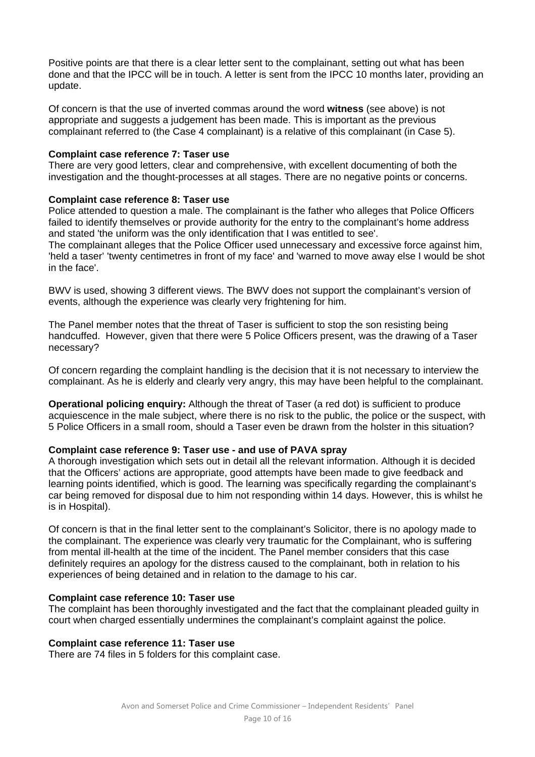Positive points are that there is a clear letter sent to the complainant, setting out what has been done and that the IPCC will be in touch. A letter is sent from the IPCC 10 months later, providing an update.

Of concern is that the use of inverted commas around the word **witness** (see above) is not appropriate and suggests a judgement has been made. This is important as the previous complainant referred to (the Case 4 complainant) is a relative of this complainant (in Case 5).

#### **Complaint case reference 7: Taser use**

There are very good letters, clear and comprehensive, with excellent documenting of both the investigation and the thought-processes at all stages. There are no negative points or concerns.

#### **Complaint case reference 8: Taser use**

Police attended to question a male. The complainant is the father who alleges that Police Officers failed to identify themselves or provide authority for the entry to the complainant's home address and stated 'the uniform was the only identification that I was entitled to see'.

The complainant alleges that the Police Officer used unnecessary and excessive force against him, 'held a taser' 'twenty centimetres in front of my face' and 'warned to move away else I would be shot in the face'.

BWV is used, showing 3 different views. The BWV does not support the complainant's version of events, although the experience was clearly very frightening for him.

The Panel member notes that the threat of Taser is sufficient to stop the son resisting being handcuffed. However, given that there were 5 Police Officers present, was the drawing of a Taser necessary?

Of concern regarding the complaint handling is the decision that it is not necessary to interview the complainant. As he is elderly and clearly very angry, this may have been helpful to the complainant.

**Operational policing enquiry:** Although the threat of Taser (a red dot) is sufficient to produce acquiescence in the male subject, where there is no risk to the public, the police or the suspect, with 5 Police Officers in a small room, should a Taser even be drawn from the holster in this situation?

#### **Complaint case reference 9: Taser use - and use of PAVA spray**

A thorough investigation which sets out in detail all the relevant information. Although it is decided that the Officers' actions are appropriate, good attempts have been made to give feedback and learning points identified, which is good. The learning was specifically regarding the complainant's car being removed for disposal due to him not responding within 14 days. However, this is whilst he is in Hospital).

Of concern is that in the final letter sent to the complainant's Solicitor, there is no apology made to the complainant. The experience was clearly very traumatic for the Complainant, who is suffering from mental ill-health at the time of the incident. The Panel member considers that this case definitely requires an apology for the distress caused to the complainant, both in relation to his experiences of being detained and in relation to the damage to his car.

#### **Complaint case reference 10: Taser use**

The complaint has been thoroughly investigated and the fact that the complainant pleaded guilty in court when charged essentially undermines the complainant's complaint against the police.

#### **Complaint case reference 11: Taser use**

There are 74 files in 5 folders for this complaint case.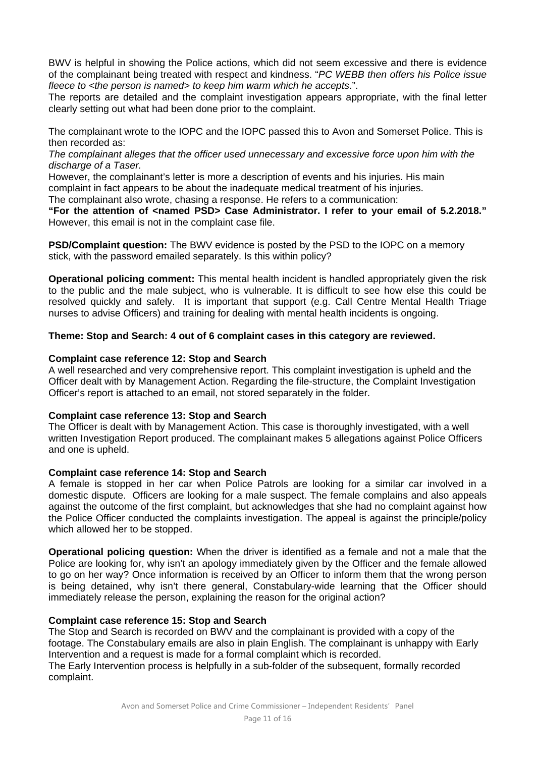BWV is helpful in showing the Police actions, which did not seem excessive and there is evidence of the complainant being treated with respect and kindness. "*PC WEBB then offers his Police issue fleece to <the person is named> to keep him warm which he accepts*.".

The reports are detailed and the complaint investigation appears appropriate, with the final letter clearly setting out what had been done prior to the complaint.

The complainant wrote to the IOPC and the IOPC passed this to Avon and Somerset Police. This is then recorded as:

*The complainant alleges that the officer used unnecessary and excessive force upon him with the discharge of a Taser.* 

However, the complainant's letter is more a description of events and his injuries. His main complaint in fact appears to be about the inadequate medical treatment of his injuries.

The complainant also wrote, chasing a response. He refers to a communication:

**"For the attention of <named PSD> Case Administrator. I refer to your email of 5.2.2018."** However, this email is not in the complaint case file.

**PSD/Complaint question:** The BWV evidence is posted by the PSD to the IOPC on a memory stick, with the password emailed separately. Is this within policy?

**Operational policing comment:** This mental health incident is handled appropriately given the risk to the public and the male subject, who is vulnerable. It is difficult to see how else this could be resolved quickly and safely. It is important that support (e.g. Call Centre Mental Health Triage nurses to advise Officers) and training for dealing with mental health incidents is ongoing.

#### **Theme: Stop and Search: 4 out of 6 complaint cases in this category are reviewed.**

#### **Complaint case reference 12: Stop and Search**

A well researched and very comprehensive report. This complaint investigation is upheld and the Officer dealt with by Management Action. Regarding the file-structure, the Complaint Investigation Officer's report is attached to an email, not stored separately in the folder.

#### **Complaint case reference 13: Stop and Search**

The Officer is dealt with by Management Action. This case is thoroughly investigated, with a well written Investigation Report produced. The complainant makes 5 allegations against Police Officers and one is upheld.

#### **Complaint case reference 14: Stop and Search**

A female is stopped in her car when Police Patrols are looking for a similar car involved in a domestic dispute. Officers are looking for a male suspect. The female complains and also appeals against the outcome of the first complaint, but acknowledges that she had no complaint against how the Police Officer conducted the complaints investigation. The appeal is against the principle/policy which allowed her to be stopped.

**Operational policing question:** When the driver is identified as a female and not a male that the Police are looking for, why isn't an apology immediately given by the Officer and the female allowed to go on her way? Once information is received by an Officer to inform them that the wrong person is being detained, why isn't there general, Constabulary-wide learning that the Officer should immediately release the person, explaining the reason for the original action?

#### **Complaint case reference 15: Stop and Search**

The Stop and Search is recorded on BWV and the complainant is provided with a copy of the footage. The Constabulary emails are also in plain English. The complainant is unhappy with Early Intervention and a request is made for a formal complaint which is recorded.

The Early Intervention process is helpfully in a sub-folder of the subsequent, formally recorded complaint.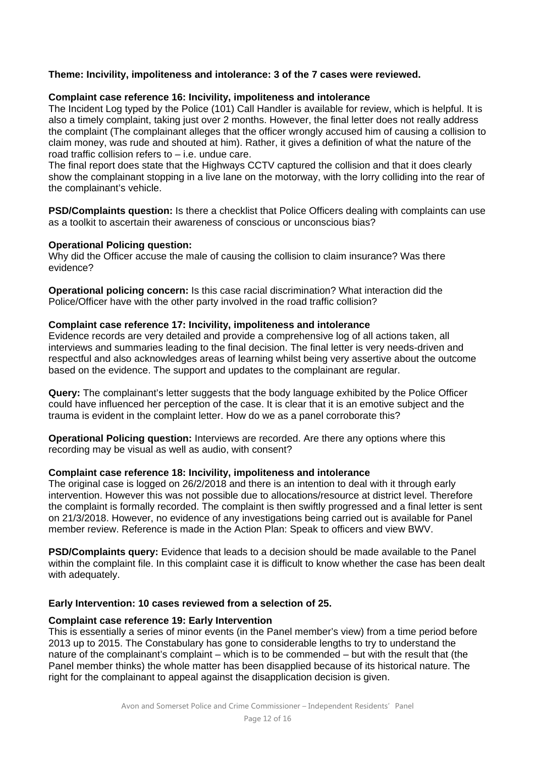#### **Theme: Incivility, impoliteness and intolerance: 3 of the 7 cases were reviewed.**

#### **Complaint case reference 16: Incivility, impoliteness and intolerance**

The Incident Log typed by the Police (101) Call Handler is available for review, which is helpful. It is also a timely complaint, taking just over 2 months. However, the final letter does not really address the complaint (The complainant alleges that the officer wrongly accused him of causing a collision to claim money, was rude and shouted at him). Rather, it gives a definition of what the nature of the road traffic collision refers to – i.e. undue care.

The final report does state that the Highways CCTV captured the collision and that it does clearly show the complainant stopping in a live lane on the motorway, with the lorry colliding into the rear of the complainant's vehicle.

**PSD/Complaints question:** Is there a checklist that Police Officers dealing with complaints can use as a toolkit to ascertain their awareness of conscious or unconscious bias?

#### **Operational Policing question:**

Why did the Officer accuse the male of causing the collision to claim insurance? Was there evidence?

**Operational policing concern:** Is this case racial discrimination? What interaction did the Police/Officer have with the other party involved in the road traffic collision?

#### **Complaint case reference 17: Incivility, impoliteness and intolerance**

Evidence records are very detailed and provide a comprehensive log of all actions taken, all interviews and summaries leading to the final decision. The final letter is very needs-driven and respectful and also acknowledges areas of learning whilst being very assertive about the outcome based on the evidence. The support and updates to the complainant are regular.

**Query:** The complainant's letter suggests that the body language exhibited by the Police Officer could have influenced her perception of the case. It is clear that it is an emotive subject and the trauma is evident in the complaint letter. How do we as a panel corroborate this?

**Operational Policing question:** Interviews are recorded. Are there any options where this recording may be visual as well as audio, with consent?

#### **Complaint case reference 18: Incivility, impoliteness and intolerance**

The original case is logged on 26/2/2018 and there is an intention to deal with it through early intervention. However this was not possible due to allocations/resource at district level. Therefore the complaint is formally recorded. The complaint is then swiftly progressed and a final letter is sent on 21/3/2018. However, no evidence of any investigations being carried out is available for Panel member review. Reference is made in the Action Plan: Speak to officers and view BWV.

**PSD/Complaints query:** Evidence that leads to a decision should be made available to the Panel within the complaint file. In this complaint case it is difficult to know whether the case has been dealt with adequately.

#### **Early Intervention: 10 cases reviewed from a selection of 25.**

#### **Complaint case reference 19: Early Intervention**

This is essentially a series of minor events (in the Panel member's view) from a time period before 2013 up to 2015. The Constabulary has gone to considerable lengths to try to understand the nature of the complainant's complaint – which is to be commended – but with the result that (the Panel member thinks) the whole matter has been disapplied because of its historical nature. The right for the complainant to appeal against the disapplication decision is given.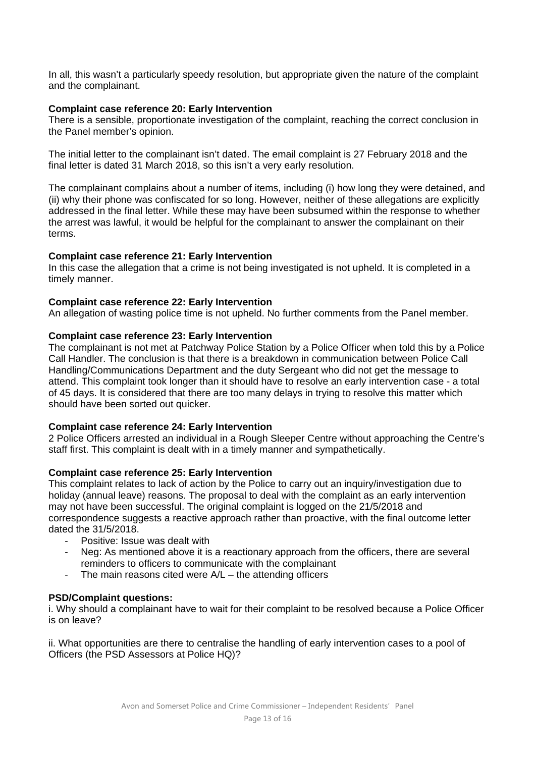In all, this wasn't a particularly speedy resolution, but appropriate given the nature of the complaint and the complainant.

#### **Complaint case reference 20: Early Intervention**

There is a sensible, proportionate investigation of the complaint, reaching the correct conclusion in the Panel member's opinion.

The initial letter to the complainant isn't dated. The email complaint is 27 February 2018 and the final letter is dated 31 March 2018, so this isn't a very early resolution.

The complainant complains about a number of items, including (i) how long they were detained, and (ii) why their phone was confiscated for so long. However, neither of these allegations are explicitly addressed in the final letter. While these may have been subsumed within the response to whether the arrest was lawful, it would be helpful for the complainant to answer the complainant on their terms.

#### **Complaint case reference 21: Early Intervention**

In this case the allegation that a crime is not being investigated is not upheld. It is completed in a timely manner.

#### **Complaint case reference 22: Early Intervention**

An allegation of wasting police time is not upheld. No further comments from the Panel member.

#### **Complaint case reference 23: Early Intervention**

The complainant is not met at Patchway Police Station by a Police Officer when told this by a Police Call Handler. The conclusion is that there is a breakdown in communication between Police Call Handling/Communications Department and the duty Sergeant who did not get the message to attend. This complaint took longer than it should have to resolve an early intervention case - a total of 45 days. It is considered that there are too many delays in trying to resolve this matter which should have been sorted out quicker.

#### **Complaint case reference 24: Early Intervention**

2 Police Officers arrested an individual in a Rough Sleeper Centre without approaching the Centre's staff first. This complaint is dealt with in a timely manner and sympathetically.

#### **Complaint case reference 25: Early Intervention**

This complaint relates to lack of action by the Police to carry out an inquiry/investigation due to holiday (annual leave) reasons. The proposal to deal with the complaint as an early intervention may not have been successful. The original complaint is logged on the 21/5/2018 and correspondence suggests a reactive approach rather than proactive, with the final outcome letter dated the 31/5/2018.

- Positive: Issue was dealt with
- Neg: As mentioned above it is a reactionary approach from the officers, there are several reminders to officers to communicate with the complainant
- The main reasons cited were  $A/L -$  the attending officers

#### **PSD/Complaint questions:**

i. Why should a complainant have to wait for their complaint to be resolved because a Police Officer is on leave?

ii. What opportunities are there to centralise the handling of early intervention cases to a pool of Officers (the PSD Assessors at Police HQ)?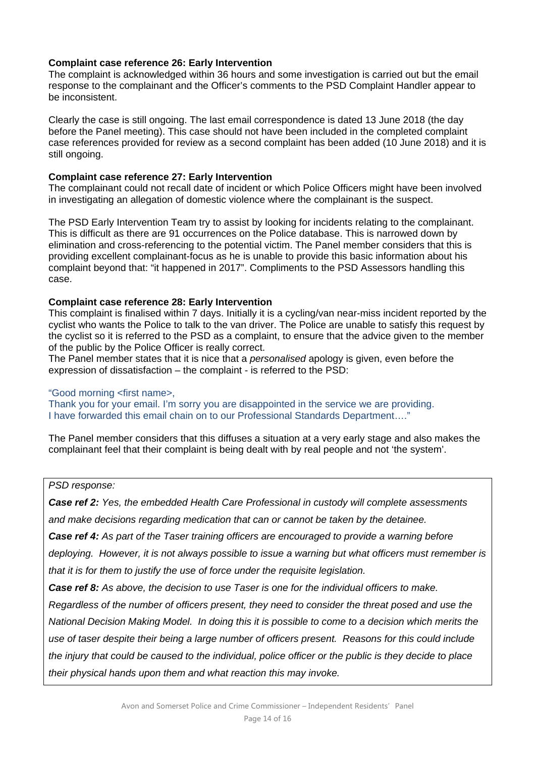#### **Complaint case reference 26: Early Intervention**

The complaint is acknowledged within 36 hours and some investigation is carried out but the email response to the complainant and the Officer's comments to the PSD Complaint Handler appear to be inconsistent.

Clearly the case is still ongoing. The last email correspondence is dated 13 June 2018 (the day before the Panel meeting). This case should not have been included in the completed complaint case references provided for review as a second complaint has been added (10 June 2018) and it is still ongoing.

#### **Complaint case reference 27: Early Intervention**

The complainant could not recall date of incident or which Police Officers might have been involved in investigating an allegation of domestic violence where the complainant is the suspect.

The PSD Early Intervention Team try to assist by looking for incidents relating to the complainant. This is difficult as there are 91 occurrences on the Police database. This is narrowed down by elimination and cross-referencing to the potential victim. The Panel member considers that this is providing excellent complainant-focus as he is unable to provide this basic information about his complaint beyond that: "it happened in 2017". Compliments to the PSD Assessors handling this case.

#### **Complaint case reference 28: Early Intervention**

This complaint is finalised within 7 days. Initially it is a cycling/van near-miss incident reported by the cyclist who wants the Police to talk to the van driver. The Police are unable to satisfy this request by the cyclist so it is referred to the PSD as a complaint, to ensure that the advice given to the member of the public by the Police Officer is really correct.

The Panel member states that it is nice that a *personalised* apology is given, even before the expression of dissatisfaction – the complaint - is referred to the PSD:

#### "Good morning <first name>,

Thank you for your email. I'm sorry you are disappointed in the service we are providing. I have forwarded this email chain on to our Professional Standards Department…."

The Panel member considers that this diffuses a situation at a very early stage and also makes the complainant feel that their complaint is being dealt with by real people and not 'the system'.

#### *PSD response:*

*Case ref 2: Yes, the embedded Health Care Professional in custody will complete assessments* 

*and make decisions regarding medication that can or cannot be taken by the detainee.* 

*Case ref 4: As part of the Taser training officers are encouraged to provide a warning before* 

*deploying. However, it is not always possible to issue a warning but what officers must remember is that it is for them to justify the use of force under the requisite legislation.* 

*Case ref 8: As above, the decision to use Taser is one for the individual officers to make.* 

*Regardless of the number of officers present, they need to consider the threat posed and use the National Decision Making Model. In doing this it is possible to come to a decision which merits the use of taser despite their being a large number of officers present. Reasons for this could include the injury that could be caused to the individual, police officer or the public is they decide to place their physical hands upon them and what reaction this may invoke.*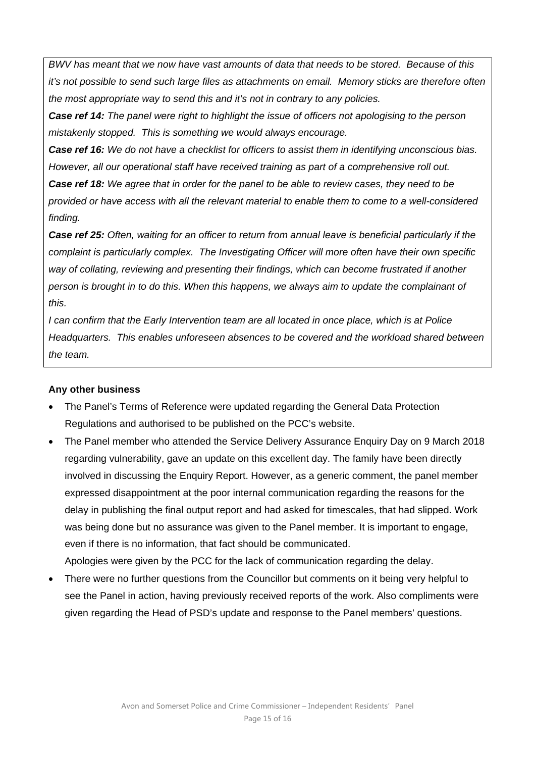*BWV has meant that we now have vast amounts of data that needs to be stored. Because of this it's not possible to send such large files as attachments on email. Memory sticks are therefore often the most appropriate way to send this and it's not in contrary to any policies.* 

*Case ref 14: The panel were right to highlight the issue of officers not apologising to the person mistakenly stopped. This is something we would always encourage.* 

*Case ref 16: We do not have a checklist for officers to assist them in identifying unconscious bias. However, all our operational staff have received training as part of a comprehensive roll out.* 

*Case ref 18: We agree that in order for the panel to be able to review cases, they need to be provided or have access with all the relevant material to enable them to come to a well-considered finding.* 

*Case ref 25: Often, waiting for an officer to return from annual leave is beneficial particularly if the complaint is particularly complex. The Investigating Officer will more often have their own specific way of collating, reviewing and presenting their findings, which can become frustrated if another person is brought in to do this. When this happens, we always aim to update the complainant of this.* 

*I can confirm that the Early Intervention team are all located in once place, which is at Police Headquarters. This enables unforeseen absences to be covered and the workload shared between the team.* 

#### **Any other business**

- The Panel's Terms of Reference were updated regarding the General Data Protection Regulations and authorised to be published on the PCC's website.
- The Panel member who attended the Service Delivery Assurance Enquiry Day on 9 March 2018 regarding vulnerability, gave an update on this excellent day. The family have been directly involved in discussing the Enquiry Report. However, as a generic comment, the panel member expressed disappointment at the poor internal communication regarding the reasons for the delay in publishing the final output report and had asked for timescales, that had slipped. Work was being done but no assurance was given to the Panel member. It is important to engage, even if there is no information, that fact should be communicated. Apologies were given by the PCC for the lack of communication regarding the delay.

 There were no further questions from the Councillor but comments on it being very helpful to see the Panel in action, having previously received reports of the work. Also compliments were given regarding the Head of PSD's update and response to the Panel members' questions.